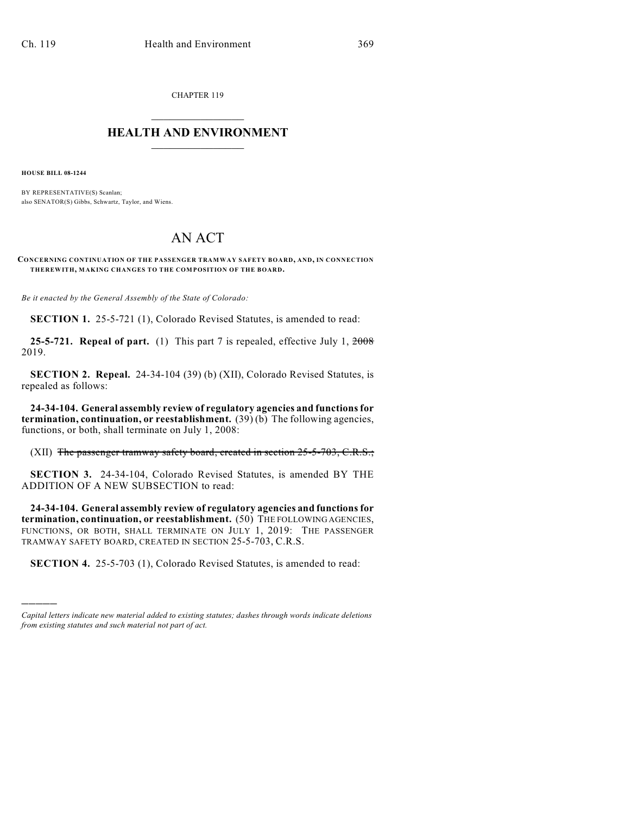CHAPTER 119

## $\mathcal{L}_\text{max}$  . The set of the set of the set of the set of the set of the set of the set of the set of the set of the set of the set of the set of the set of the set of the set of the set of the set of the set of the set **HEALTH AND ENVIRONMENT**  $\_$

**HOUSE BILL 08-1244**

)))))

BY REPRESENTATIVE(S) Scanlan; also SENATOR(S) Gibbs, Schwartz, Taylor, and Wiens.

## AN ACT

**CONCERNING CONTINUATION OF THE PASSENGER TRAMWAY SAFETY BOARD, AND, IN CONNECTION THEREWITH, MAKING CHANGES TO THE COMPOSITION OF THE BOARD.**

*Be it enacted by the General Assembly of the State of Colorado:*

**SECTION 1.** 25-5-721 (1), Colorado Revised Statutes, is amended to read:

**25-5-721. Repeal of part.** (1) This part 7 is repealed, effective July 1, 2008 2019.

**SECTION 2. Repeal.** 24-34-104 (39) (b) (XII), Colorado Revised Statutes, is repealed as follows:

**24-34-104. General assembly review of regulatory agencies and functions for termination, continuation, or reestablishment.** (39) (b) The following agencies, functions, or both, shall terminate on July 1, 2008:

(XII) The passenger tramway safety board, created in section 25-5-703, C.R.S.;

**SECTION 3.** 24-34-104, Colorado Revised Statutes, is amended BY THE ADDITION OF A NEW SUBSECTION to read:

**24-34-104. General assembly review of regulatory agencies and functions for termination, continuation, or reestablishment.** (50) THE FOLLOWING AGENCIES, FUNCTIONS, OR BOTH, SHALL TERMINATE ON JULY 1, 2019: THE PASSENGER TRAMWAY SAFETY BOARD, CREATED IN SECTION 25-5-703, C.R.S.

**SECTION 4.** 25-5-703 (1), Colorado Revised Statutes, is amended to read:

*Capital letters indicate new material added to existing statutes; dashes through words indicate deletions from existing statutes and such material not part of act.*